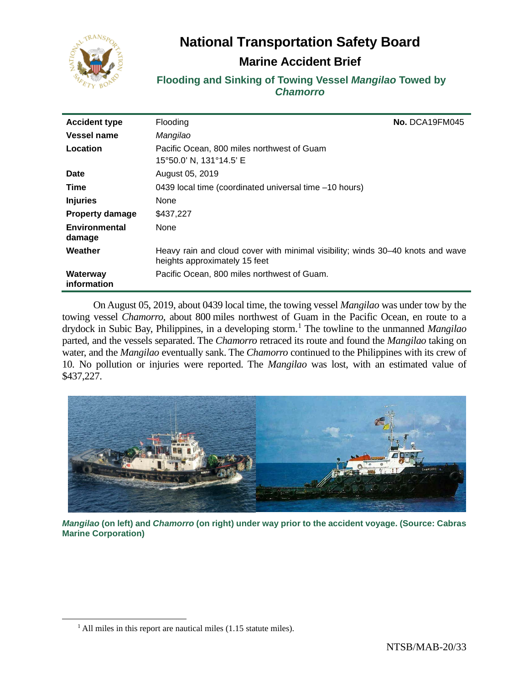

# **National Transportation Safety Board**

## **Marine Accident Brief**

**Flooding and Sinking of Towing Vessel** *Mangilao* **Towed by**  *Chamorro*

| <b>Accident type</b>    | Flooding                                                                                                        | No. DCA19FM045 |
|-------------------------|-----------------------------------------------------------------------------------------------------------------|----------------|
| <b>Vessel name</b>      | Mangilao                                                                                                        |                |
| Location                | Pacific Ocean, 800 miles northwest of Guam<br>15°50.0' N, 131°14.5' E                                           |                |
| <b>Date</b>             | August 05, 2019                                                                                                 |                |
| Time                    | 0439 local time (coordinated universal time -10 hours)                                                          |                |
| <b>Injuries</b>         | None                                                                                                            |                |
| <b>Property damage</b>  | \$437,227                                                                                                       |                |
| Environmental<br>damage | None                                                                                                            |                |
| Weather                 | Heavy rain and cloud cover with minimal visibility; winds 30–40 knots and wave<br>heights approximately 15 feet |                |
| Waterway<br>information | Pacific Ocean, 800 miles northwest of Guam.                                                                     |                |

On August 05, 2019, about 0439 local time, the towing vessel *Mangilao* was under tow by the towing vessel *Chamorro,* about 800 miles northwest of Guam in the Pacific Ocean, en route to a drydock in Subic Bay, Philippines, in a developing storm. [1](#page-0-0) The towline to the unmanned *Mangilao* parted, and the vessels separated. The *Chamorro* retraced its route and found the *Mangilao* taking on water, and the *Mangilao* eventually sank. The *Chamorro* continued to the Philippines with its crew of 10. No pollution or injuries were reported. The *Mangilao* was lost, with an estimated value of \$437,227.



*Mangilao* **(on left) and** *Chamorro* **(on right) under way prior to the accident voyage. (Source: Cabras Marine Corporation)**

<span id="page-0-0"></span> $<sup>1</sup>$  All miles in this report are nautical miles (1.15 statute miles).</sup>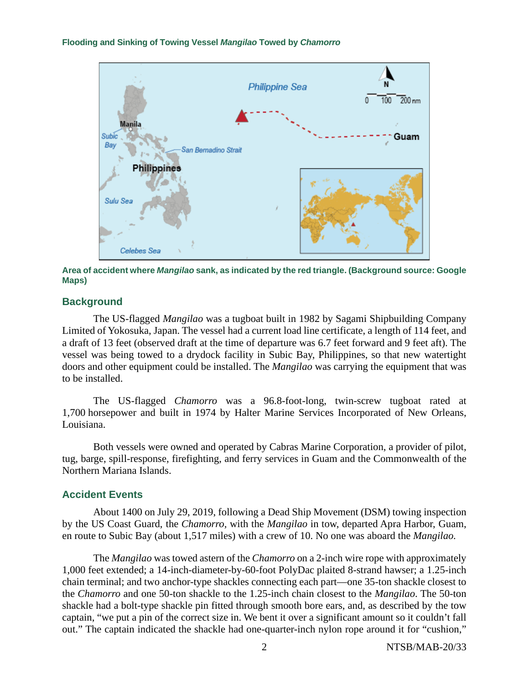

**Area of accident where** *Mangilao* **sank, as indicated by the red triangle. (Background source: Google Maps)**

## **Background**

The US-flagged *Mangilao* was a tugboat built in 1982 by Sagami Shipbuilding Company Limited of Yokosuka, Japan. The vessel had a current load line certificate, a length of 114 feet, and a draft of 13 feet (observed draft at the time of departure was 6.7 feet forward and 9 feet aft). The vessel was being towed to a drydock facility in Subic Bay, Philippines, so that new watertight doors and other equipment could be installed. The *Mangilao* was carrying the equipment that was to be installed.

The US-flagged *Chamorro* was a 96.8-foot-long, twin-screw tugboat rated at 1,700 horsepower and built in 1974 by Halter Marine Services Incorporated of New Orleans, Louisiana.

Both vessels were owned and operated by Cabras Marine Corporation, a provider of pilot, tug, barge, spill-response, firefighting, and ferry services in Guam and the Commonwealth of the Northern Mariana Islands.

## **Accident Events**

About 1400 on July 29, 2019, following a Dead Ship Movement (DSM) towing inspection by the US Coast Guard, the *Chamorro,* with the *Mangilao* in tow, departed Apra Harbor, Guam, en route to Subic Bay (about 1,517 miles) with a crew of 10. No one was aboard the *Mangilao.*

The *Mangilao* was towed astern of the *Chamorro* on a 2-inch wire rope with approximately 1,000 feet extended; a 14-inch-diameter-by-60-foot PolyDac plaited 8-strand hawser; a 1.25-inch chain terminal; and two anchor-type shackles connecting each part—one 35-ton shackle closest to the *Chamorro* and one 50-ton shackle to the 1.25-inch chain closest to the *Mangilao*. The 50-ton shackle had a bolt-type shackle pin fitted through smooth bore ears, and, as described by the tow captain, "we put a pin of the correct size in. We bent it over a significant amount so it couldn't fall out." The captain indicated the shackle had one-quarter-inch nylon rope around it for "cushion,"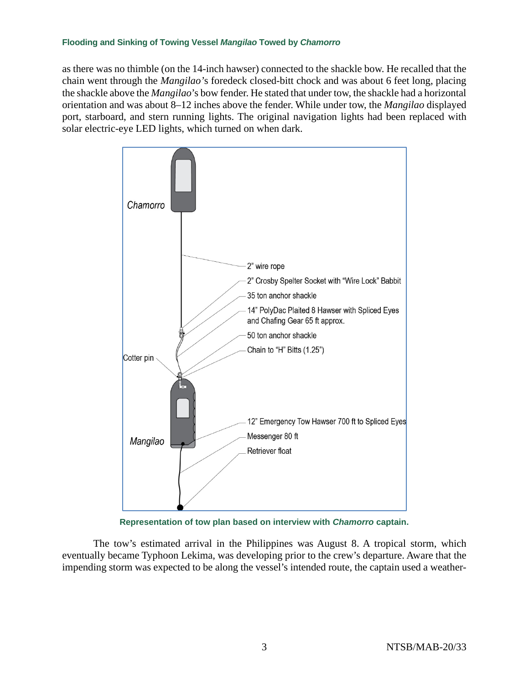as there was no thimble (on the 14-inch hawser) connected to the shackle bow. He recalled that the chain went through the *Mangilao'*s foredeck closed-bitt chock and was about 6 feet long, placing the shackle above the *Mangilao*'s bow fender. He stated that under tow, the shackle had a horizontal orientation and was about 8–12 inches above the fender. While under tow, the *Mangilao* displayed port, starboard, and stern running lights. The original navigation lights had been replaced with solar electric-eye LED lights, which turned on when dark.



**Representation of tow plan based on interview with** *Chamorro* **captain.**

The tow's estimated arrival in the Philippines was August 8. A tropical storm, which eventually became Typhoon Lekima, was developing prior to the crew's departure. Aware that the impending storm was expected to be along the vessel's intended route, the captain used a weather-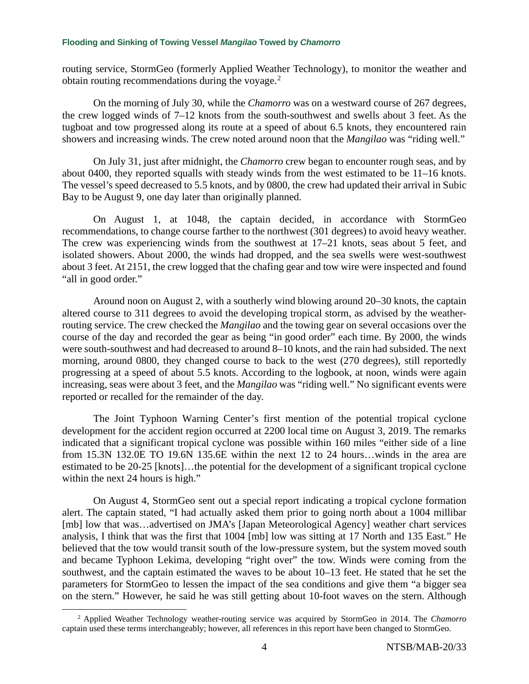routing service, StormGeo (formerly Applied Weather Technology), to monitor the weather and obtain routing recommendations during the voyage.<sup>[2](#page-3-0)</sup>

On the morning of July 30, while the *Chamorro* was on a westward course of 267 degrees, the crew logged winds of 7–12 knots from the south-southwest and swells about 3 feet. As the tugboat and tow progressed along its route at a speed of about 6.5 knots, they encountered rain showers and increasing winds. The crew noted around noon that the *Mangilao* was "riding well."

On July 31, just after midnight, the *Chamorro* crew began to encounter rough seas, and by about 0400, they reported squalls with steady winds from the west estimated to be 11–16 knots. The vessel's speed decreased to 5.5 knots, and by 0800, the crew had updated their arrival in Subic Bay to be August 9, one day later than originally planned.

On August 1, at 1048, the captain decided, in accordance with StormGeo recommendations, to change course farther to the northwest (301 degrees) to avoid heavy weather. The crew was experiencing winds from the southwest at 17–21 knots, seas about 5 feet, and isolated showers. About 2000, the winds had dropped, and the sea swells were west-southwest about 3 feet. At 2151, the crew logged that the chafing gear and tow wire were inspected and found "all in good order."

Around noon on August 2, with a southerly wind blowing around 20–30 knots, the captain altered course to 311 degrees to avoid the developing tropical storm, as advised by the weatherrouting service. The crew checked the *Mangilao* and the towing gear on several occasions over the course of the day and recorded the gear as being "in good order" each time. By 2000, the winds were south-southwest and had decreased to around 8–10 knots, and the rain had subsided. The next morning, around 0800, they changed course to back to the west (270 degrees), still reportedly progressing at a speed of about 5.5 knots. According to the logbook, at noon, winds were again increasing, seas were about 3 feet, and the *Mangilao* was "riding well." No significant events were reported or recalled for the remainder of the day.

The Joint Typhoon Warning Center's first mention of the potential tropical cyclone development for the accident region occurred at 2200 local time on August 3, 2019. The remarks indicated that a significant tropical cyclone was possible within 160 miles "either side of a line from 15.3N 132.0E TO 19.6N 135.6E within the next 12 to 24 hours…winds in the area are estimated to be 20-25 [knots]…the potential for the development of a significant tropical cyclone within the next 24 hours is high."

On August 4, StormGeo sent out a special report indicating a tropical cyclone formation alert. The captain stated, "I had actually asked them prior to going north about a 1004 millibar [mb] low that was…advertised on JMA's [Japan Meteorological Agency] weather chart services analysis, I think that was the first that 1004 [mb] low was sitting at 17 North and 135 East*.*" He believed that the tow would transit south of the low-pressure system, but the system moved south and became Typhoon Lekima, developing "right over" the tow. Winds were coming from the southwest, and the captain estimated the waves to be about 10–13 feet. He stated that he set the parameters for StormGeo to lessen the impact of the sea conditions and give them "a bigger sea on the stern." However, he said he was still getting about 10-foot waves on the stern. Although

<span id="page-3-0"></span><sup>2</sup> Applied Weather Technology weather-routing service was acquired by StormGeo in 2014. The *Chamorro* captain used these terms interchangeably; however, all references in this report have been changed to StormGeo.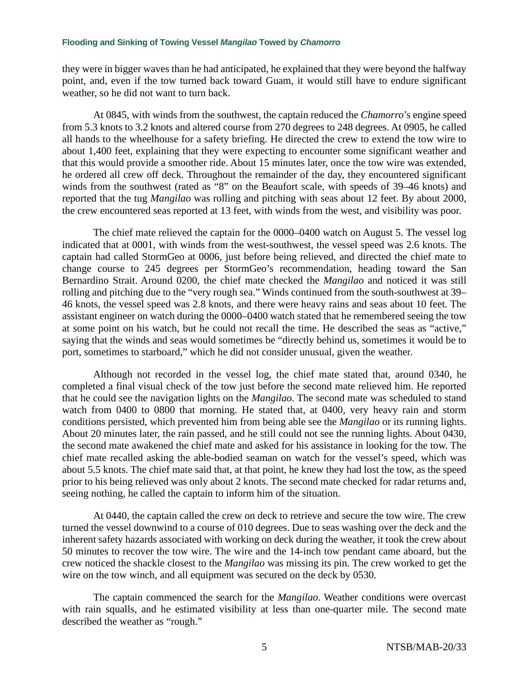they were in bigger waves than he had anticipated, he explained that they were beyond the halfway point, and, even if the tow turned back toward Guam, it would still have to endure significant weather, so he did not want to turn back.

At 0845, with winds from the southwest, the captain reduced the *Chamorro*'s engine speed from 5.3 knots to 3.2 knots and altered course from 270 degrees to 248 degrees. At 0905, he called all hands to the wheelhouse for a safety briefing. He directed the crew to extend the tow wire to about 1,400 feet, explaining that they were expecting to encounter some significant weather and that this would provide a smoother ride. About 15 minutes later, once the tow wire was extended, he ordered all crew off deck. Throughout the remainder of the day, they encountered significant winds from the southwest (rated as "8" on the Beaufort scale, with speeds of 39–46 knots) and reported that the tug *Mangilao* was rolling and pitching with seas about 12 feet. By about 2000, the crew encountered seas reported at 13 feet, with winds from the west, and visibility was poor.

The chief mate relieved the captain for the 0000–0400 watch on August 5. The vessel log indicated that at 0001, with winds from the west-southwest, the vessel speed was 2.6 knots. The captain had called StormGeo at 0006, just before being relieved, and directed the chief mate to change course to 245 degrees per StormGeo's recommendation, heading toward the San Bernardino Strait. Around 0200, the chief mate checked the *Mangilao* and noticed it was still rolling and pitching due to the "very rough sea." Winds continued from the south-southwest at 39– 46 knots, the vessel speed was 2.8 knots, and there were heavy rains and seas about 10 feet. The assistant engineer on watch during the 0000–0400 watch stated that he remembered seeing the tow at some point on his watch, but he could not recall the time. He described the seas as "active," saying that the winds and seas would sometimes be "directly behind us, sometimes it would be to port, sometimes to starboard," which he did not consider unusual, given the weather.

Although not recorded in the vessel log, the chief mate stated that, around 0340, he completed a final visual check of the tow just before the second mate relieved him. He reported that he could see the navigation lights on the *Mangilao*. The second mate was scheduled to stand watch from 0400 to 0800 that morning. He stated that, at 0400, very heavy rain and storm conditions persisted, which prevented him from being able see the *Mangilao* or its running lights. About 20 minutes later, the rain passed, and he still could not see the running lights. About 0430, the second mate awakened the chief mate and asked for his assistance in looking for the tow. The chief mate recalled asking the able-bodied seaman on watch for the vessel's speed, which was about 5.5 knots. The chief mate said that, at that point, he knew they had lost the tow, as the speed prior to his being relieved was only about 2 knots. The second mate checked for radar returns and, seeing nothing, he called the captain to inform him of the situation.

At 0440, the captain called the crew on deck to retrieve and secure the tow wire. The crew turned the vessel downwind to a course of 010 degrees. Due to seas washing over the deck and the inherent safety hazards associated with working on deck during the weather, it took the crew about 50 minutes to recover the tow wire. The wire and the 14-inch tow pendant came aboard, but the crew noticed the shackle closest to the *Mangilao* was missing its pin. The crew worked to get the wire on the tow winch, and all equipment was secured on the deck by 0530.

The captain commenced the search for the *Mangilao*. Weather conditions were overcast with rain squalls, and he estimated visibility at less than one-quarter mile. The second mate described the weather as "rough."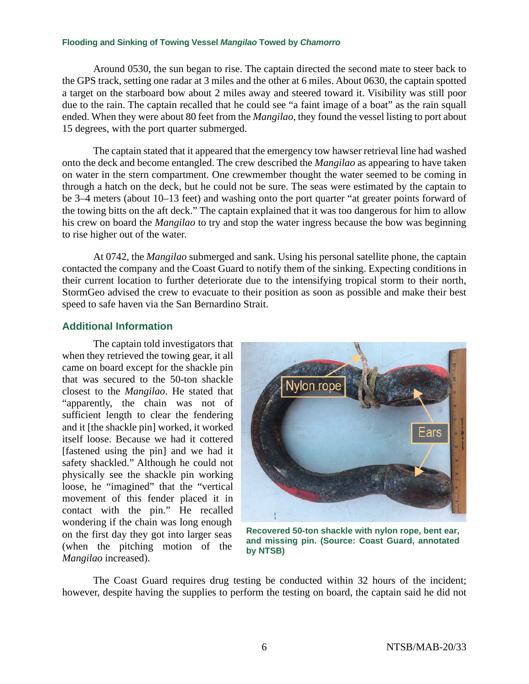Around 0530, the sun began to rise. The captain directed the second mate to steer back to the GPS track, setting one radar at 3 miles and the other at 6 miles. About 0630, the captain spotted a target on the starboard bow about 2 miles away and steered toward it. Visibility was still poor due to the rain. The captain recalled that he could see "a faint image of a boat" as the rain squall ended. When they were about 80 feet from the *Mangilao*, they found the vessel listing to port about 15 degrees, with the port quarter submerged.

The captain stated that it appeared that the emergency tow hawser retrieval line had washed onto the deck and become entangled. The crew described the *Mangilao* as appearing to have taken on water in the stern compartment. One crewmember thought the water seemed to be coming in through a hatch on the deck, but he could not be sure. The seas were estimated by the captain to be 3–4 meters (about 10–13 feet) and washing onto the port quarter "at greater points forward of the towing bitts on the aft deck." The captain explained that it was too dangerous for him to allow his crew on board the *Mangilao* to try and stop the water ingress because the bow was beginning to rise higher out of the water.

At 0742, the *Mangilao* submerged and sank. Using his personal satellite phone, the captain contacted the company and the Coast Guard to notify them of the sinking. Expecting conditions in their current location to further deteriorate due to the intensifying tropical storm to their north, StormGeo advised the crew to evacuate to their position as soon as possible and make their best speed to safe haven via the San Bernardino Strait.

## **Additional Information**

The captain told investigators that when they retrieved the towing gear, it all came on board except for the shackle pin that was secured to the 50-ton shackle closest to the *Mangilao*. He stated that "apparently, the chain was not of sufficient length to clear the fendering and it [the shackle pin] worked, it worked itself loose. Because we had it cottered [fastened using the pin] and we had it safety shackled." Although he could not physically see the shackle pin working loose, he "imagined" that the "vertical movement of this fender placed it in contact with the pin." He recalled wondering if the chain was long enough on the first day they got into larger seas (when the pitching motion of the *Mangilao* increased).



**Recovered 50-ton shackle with nylon rope, bent ear, and missing pin. (Source: Coast Guard, annotated by NTSB)**

The Coast Guard requires drug testing be conducted within 32 hours of the incident; however, despite having the supplies to perform the testing on board, the captain said he did not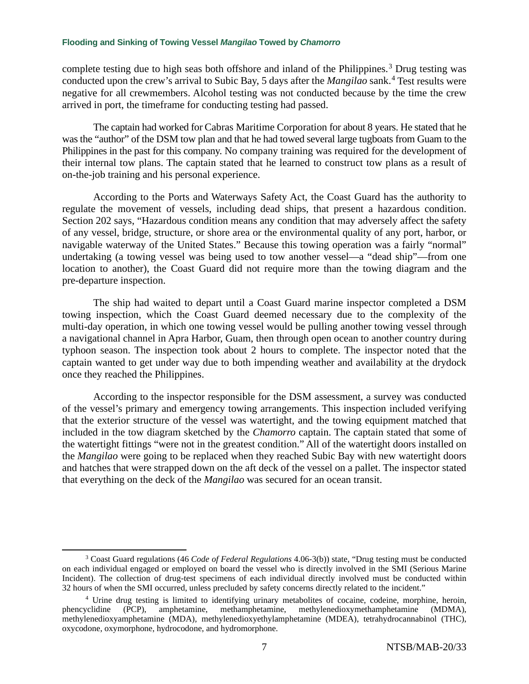complete testing due to high seas both offshore and inland of the Philippines.<sup>[3](#page-6-0)</sup> Drug testing was conducted upon the crew's arrival to Subic Bay, 5 days after the *Mangilao* sank.[4](#page-6-1) Test results were negative for all crewmembers. Alcohol testing was not conducted because by the time the crew arrived in port, the timeframe for conducting testing had passed.

The captain had worked for Cabras Maritime Corporation for about 8 years. He stated that he was the "author" of the DSM tow plan and that he had towed several large tugboats from Guam to the Philippines in the past for this company. No company training was required for the development of their internal tow plans. The captain stated that he learned to construct tow plans as a result of on-the-job training and his personal experience.

According to the Ports and Waterways Safety Act, the Coast Guard has the authority to regulate the movement of vessels, including dead ships, that present a hazardous condition. Section 202 says, "Hazardous condition means any condition that may adversely affect the safety of any vessel, bridge, structure, or shore area or the environmental quality of any port, harbor, or navigable waterway of the United States." Because this towing operation was a fairly "normal" undertaking (a towing vessel was being used to tow another vessel—a "dead ship"—from one location to another), the Coast Guard did not require more than the towing diagram and the pre-departure inspection.

The ship had waited to depart until a Coast Guard marine inspector completed a DSM towing inspection, which the Coast Guard deemed necessary due to the complexity of the multi-day operation, in which one towing vessel would be pulling another towing vessel through a navigational channel in Apra Harbor, Guam, then through open ocean to another country during typhoon season. The inspection took about 2 hours to complete. The inspector noted that the captain wanted to get under way due to both impending weather and availability at the drydock once they reached the Philippines.

According to the inspector responsible for the DSM assessment, a survey was conducted of the vessel's primary and emergency towing arrangements. This inspection included verifying that the exterior structure of the vessel was watertight, and the towing equipment matched that included in the tow diagram sketched by the *Chamorro* captain. The captain stated that some of the watertight fittings "were not in the greatest condition." All of the watertight doors installed on the *Mangilao* were going to be replaced when they reached Subic Bay with new watertight doors and hatches that were strapped down on the aft deck of the vessel on a pallet. The inspector stated that everything on the deck of the *Mangilao* was secured for an ocean transit.

<span id="page-6-0"></span><sup>3</sup> Coast Guard regulations (46 *Code of Federal Regulations* 4.06-3(b)) state, "Drug testing must be conducted on each individual engaged or employed on board the vessel who is directly involved in the SMI (Serious Marine Incident). The collection of drug-test specimens of each individual directly involved must be conducted within 32 hours of when the SMI occurred, unless precluded by safety concerns directly related to the incident."

<span id="page-6-1"></span><sup>4</sup> Urine drug testing is limited to identifying urinary metabolites of cocaine, codeine, morphine, heroin, phencyclidine (PCP), amphetamine, methamphetamine, methylenedioxymethamphetamine (MDMA), methylenedioxyamphetamine (MDA), methylenedioxyethylamphetamine (MDEA), tetrahydrocannabinol (THC), oxycodone, oxymorphone, hydrocodone, and hydromorphone.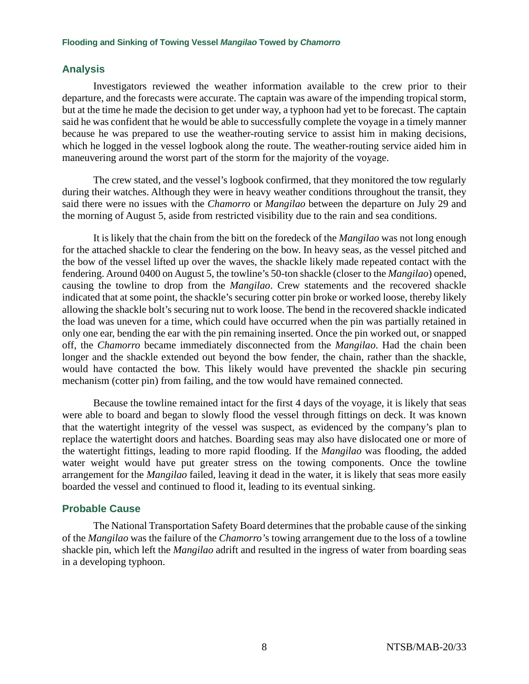## **Analysis**

Investigators reviewed the weather information available to the crew prior to their departure, and the forecasts were accurate. The captain was aware of the impending tropical storm, but at the time he made the decision to get under way, a typhoon had yet to be forecast. The captain said he was confident that he would be able to successfully complete the voyage in a timely manner because he was prepared to use the weather-routing service to assist him in making decisions, which he logged in the vessel logbook along the route. The weather-routing service aided him in maneuvering around the worst part of the storm for the majority of the voyage.

The crew stated, and the vessel's logbook confirmed, that they monitored the tow regularly during their watches. Although they were in heavy weather conditions throughout the transit, they said there were no issues with the *Chamorro* or *Mangilao* between the departure on July 29 and the morning of August 5, aside from restricted visibility due to the rain and sea conditions.

It is likely that the chain from the bitt on the foredeck of the *Mangilao* was not long enough for the attached shackle to clear the fendering on the bow. In heavy seas, as the vessel pitched and the bow of the vessel lifted up over the waves, the shackle likely made repeated contact with the fendering. Around 0400 on August 5, the towline's 50-ton shackle (closer to the *Mangilao*) opened, causing the towline to drop from the *Mangilao*. Crew statements and the recovered shackle indicated that at some point, the shackle's securing cotter pin broke or worked loose, thereby likely allowing the shackle bolt's securing nut to work loose. The bend in the recovered shackle indicated the load was uneven for a time, which could have occurred when the pin was partially retained in only one ear, bending the ear with the pin remaining inserted. Once the pin worked out, or snapped off, the *Chamorro* became immediately disconnected from the *Mangilao*. Had the chain been longer and the shackle extended out beyond the bow fender, the chain, rather than the shackle, would have contacted the bow. This likely would have prevented the shackle pin securing mechanism (cotter pin) from failing, and the tow would have remained connected.

Because the towline remained intact for the first 4 days of the voyage, it is likely that seas were able to board and began to slowly flood the vessel through fittings on deck. It was known that the watertight integrity of the vessel was suspect, as evidenced by the company's plan to replace the watertight doors and hatches. Boarding seas may also have dislocated one or more of the watertight fittings, leading to more rapid flooding. If the *Mangilao* was flooding, the added water weight would have put greater stress on the towing components. Once the towline arrangement for the *Mangilao* failed, leaving it dead in the water, it is likely that seas more easily boarded the vessel and continued to flood it, leading to its eventual sinking.

## **Probable Cause**

The National Transportation Safety Board determines that the probable cause of the sinking of the *Mangilao* was the failure of the *Chamorro'*s towing arrangement due to the loss of a towline shackle pin, which left the *Mangilao* adrift and resulted in the ingress of water from boarding seas in a developing typhoon.